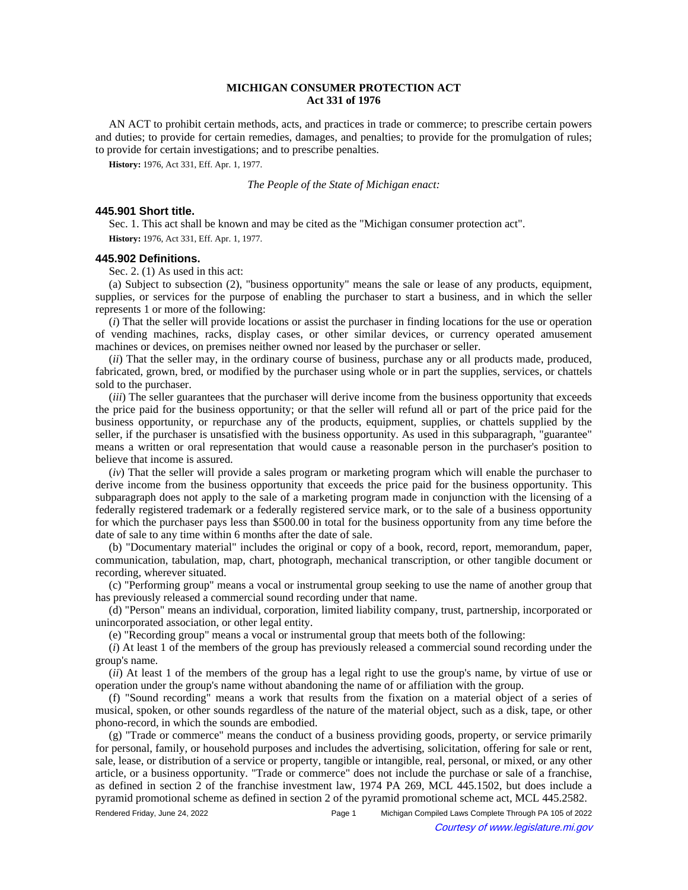## **MICHIGAN CONSUMER PROTECTION ACT Act 331 of 1976**

AN ACT to prohibit certain methods, acts, and practices in trade or commerce; to prescribe certain powers and duties; to provide for certain remedies, damages, and penalties; to provide for the promulgation of rules; to provide for certain investigations; and to prescribe penalties.

**History:** 1976, Act 331, Eff. Apr. 1, 1977.

*The People of the State of Michigan enact:*

### **445.901 Short title.**

Sec. 1. This act shall be known and may be cited as the "Michigan consumer protection act". **History:** 1976, Act 331, Eff. Apr. 1, 1977.

### **445.902 Definitions.**

Sec. 2. (1) As used in this act:

(a) Subject to subsection (2), "business opportunity" means the sale or lease of any products, equipment, supplies, or services for the purpose of enabling the purchaser to start a business, and in which the seller represents 1 or more of the following:

(*i*) That the seller will provide locations or assist the purchaser in finding locations for the use or operation of vending machines, racks, display cases, or other similar devices, or currency operated amusement machines or devices, on premises neither owned nor leased by the purchaser or seller.

(*ii*) That the seller may, in the ordinary course of business, purchase any or all products made, produced, fabricated, grown, bred, or modified by the purchaser using whole or in part the supplies, services, or chattels sold to the purchaser.

(*iii*) The seller guarantees that the purchaser will derive income from the business opportunity that exceeds the price paid for the business opportunity; or that the seller will refund all or part of the price paid for the business opportunity, or repurchase any of the products, equipment, supplies, or chattels supplied by the seller, if the purchaser is unsatisfied with the business opportunity. As used in this subparagraph, "guarantee" means a written or oral representation that would cause a reasonable person in the purchaser's position to believe that income is assured.

(*iv*) That the seller will provide a sales program or marketing program which will enable the purchaser to derive income from the business opportunity that exceeds the price paid for the business opportunity. This subparagraph does not apply to the sale of a marketing program made in conjunction with the licensing of a federally registered trademark or a federally registered service mark, or to the sale of a business opportunity for which the purchaser pays less than \$500.00 in total for the business opportunity from any time before the date of sale to any time within 6 months after the date of sale.

(b) "Documentary material" includes the original or copy of a book, record, report, memorandum, paper, communication, tabulation, map, chart, photograph, mechanical transcription, or other tangible document or recording, wherever situated.

(c) "Performing group" means a vocal or instrumental group seeking to use the name of another group that has previously released a commercial sound recording under that name.

(d) "Person" means an individual, corporation, limited liability company, trust, partnership, incorporated or unincorporated association, or other legal entity.

(e) "Recording group" means a vocal or instrumental group that meets both of the following:

(*i*) At least 1 of the members of the group has previously released a commercial sound recording under the group's name.

(*ii*) At least 1 of the members of the group has a legal right to use the group's name, by virtue of use or operation under the group's name without abandoning the name of or affiliation with the group.

(f) "Sound recording" means a work that results from the fixation on a material object of a series of musical, spoken, or other sounds regardless of the nature of the material object, such as a disk, tape, or other phono-record, in which the sounds are embodied.

(g) "Trade or commerce" means the conduct of a business providing goods, property, or service primarily for personal, family, or household purposes and includes the advertising, solicitation, offering for sale or rent, sale, lease, or distribution of a service or property, tangible or intangible, real, personal, or mixed, or any other article, or a business opportunity. "Trade or commerce" does not include the purchase or sale of a franchise, as defined in section 2 of the franchise investment law, 1974 PA 269, MCL 445.1502, but does include a pyramid promotional scheme as defined in section 2 of the pyramid promotional scheme act, MCL 445.2582.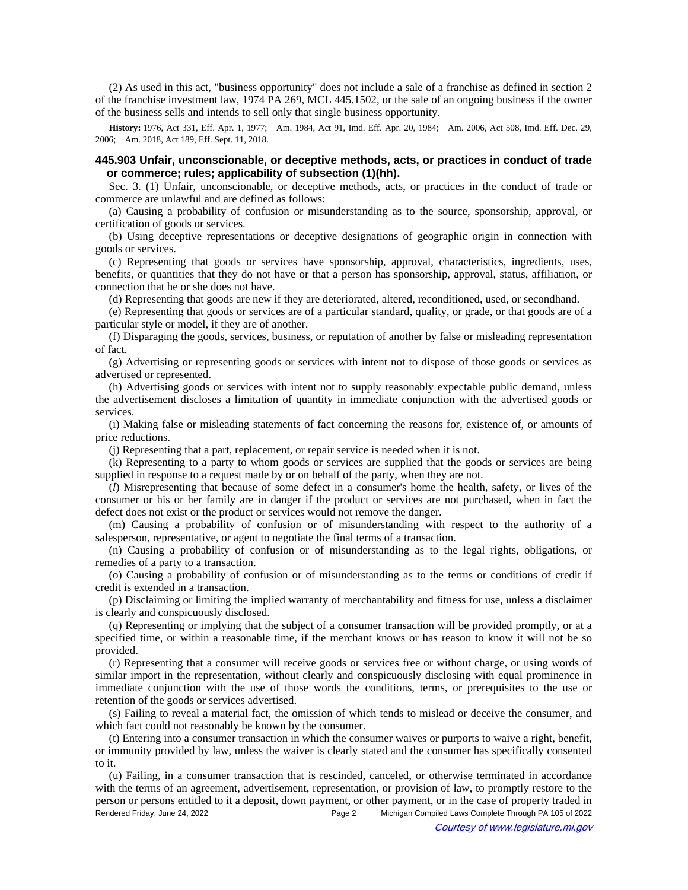(2) As used in this act, "business opportunity" does not include a sale of a franchise as defined in section 2 of the franchise investment law, 1974 PA 269, MCL 445.1502, or the sale of an ongoing business if the owner of the business sells and intends to sell only that single business opportunity.

History: 1976, Act 331, Eff. Apr. 1, 1977;—Am. 1984, Act 91, Imd. Eff. Apr. 20, 1984;—Am. 2006, Act 508, Imd. Eff. Dec. 29, 2006; Am. 2018, Act 189, Eff. Sept. 11, 2018.

## **445.903 Unfair, unconscionable, or deceptive methods, acts, or practices in conduct of trade or commerce; rules; applicability of subsection (1)(hh).**

Sec. 3. (1) Unfair, unconscionable, or deceptive methods, acts, or practices in the conduct of trade or commerce are unlawful and are defined as follows:

(a) Causing a probability of confusion or misunderstanding as to the source, sponsorship, approval, or certification of goods or services.

(b) Using deceptive representations or deceptive designations of geographic origin in connection with goods or services.

(c) Representing that goods or services have sponsorship, approval, characteristics, ingredients, uses, benefits, or quantities that they do not have or that a person has sponsorship, approval, status, affiliation, or connection that he or she does not have.

(d) Representing that goods are new if they are deteriorated, altered, reconditioned, used, or secondhand.

(e) Representing that goods or services are of a particular standard, quality, or grade, or that goods are of a particular style or model, if they are of another.

(f) Disparaging the goods, services, business, or reputation of another by false or misleading representation of fact.

(g) Advertising or representing goods or services with intent not to dispose of those goods or services as advertised or represented.

(h) Advertising goods or services with intent not to supply reasonably expectable public demand, unless the advertisement discloses a limitation of quantity in immediate conjunction with the advertised goods or services.

(i) Making false or misleading statements of fact concerning the reasons for, existence of, or amounts of price reductions.

(j) Representing that a part, replacement, or repair service is needed when it is not.

(k) Representing to a party to whom goods or services are supplied that the goods or services are being supplied in response to a request made by or on behalf of the party, when they are not.

(*l*) Misrepresenting that because of some defect in a consumer's home the health, safety, or lives of the consumer or his or her family are in danger if the product or services are not purchased, when in fact the defect does not exist or the product or services would not remove the danger.

(m) Causing a probability of confusion or of misunderstanding with respect to the authority of a salesperson, representative, or agent to negotiate the final terms of a transaction.

(n) Causing a probability of confusion or of misunderstanding as to the legal rights, obligations, or remedies of a party to a transaction.

(o) Causing a probability of confusion or of misunderstanding as to the terms or conditions of credit if credit is extended in a transaction.

(p) Disclaiming or limiting the implied warranty of merchantability and fitness for use, unless a disclaimer is clearly and conspicuously disclosed.

(q) Representing or implying that the subject of a consumer transaction will be provided promptly, or at a specified time, or within a reasonable time, if the merchant knows or has reason to know it will not be so provided.

(r) Representing that a consumer will receive goods or services free or without charge, or using words of similar import in the representation, without clearly and conspicuously disclosing with equal prominence in immediate conjunction with the use of those words the conditions, terms, or prerequisites to the use or retention of the goods or services advertised.

(s) Failing to reveal a material fact, the omission of which tends to mislead or deceive the consumer, and which fact could not reasonably be known by the consumer.

(t) Entering into a consumer transaction in which the consumer waives or purports to waive a right, benefit, or immunity provided by law, unless the waiver is clearly stated and the consumer has specifically consented to it.

(u) Failing, in a consumer transaction that is rescinded, canceled, or otherwise terminated in accordance with the terms of an agreement, advertisement, representation, or provision of law, to promptly restore to the person or persons entitled to it a deposit, down payment, or other payment, or in the case of property traded in Rendered Friday, June 24, 2022 Page 2 Michigan Compiled Laws Complete Through PA 105 of 2022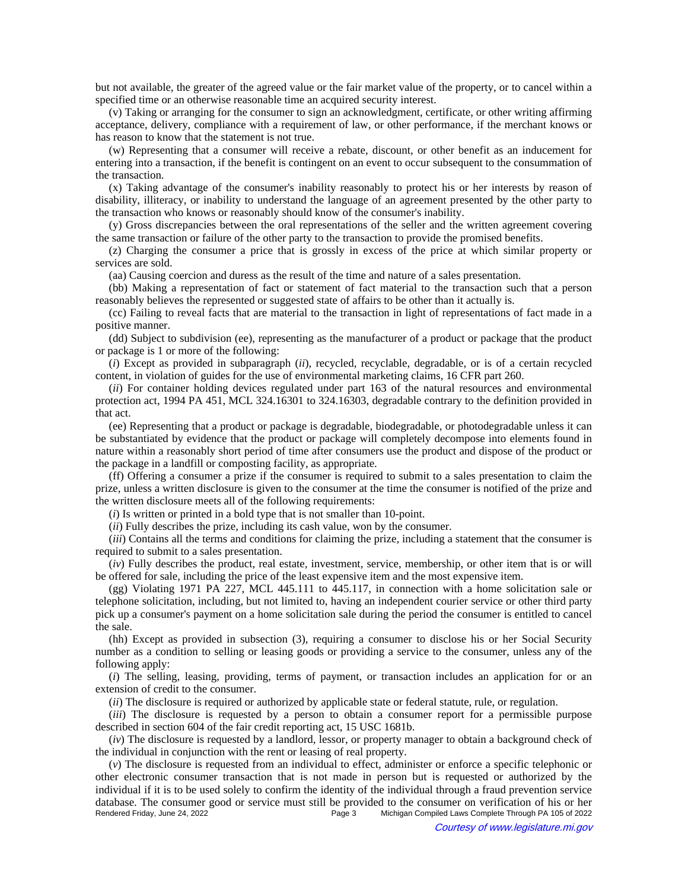but not available, the greater of the agreed value or the fair market value of the property, or to cancel within a specified time or an otherwise reasonable time an acquired security interest.

(v) Taking or arranging for the consumer to sign an acknowledgment, certificate, or other writing affirming acceptance, delivery, compliance with a requirement of law, or other performance, if the merchant knows or has reason to know that the statement is not true.

(w) Representing that a consumer will receive a rebate, discount, or other benefit as an inducement for entering into a transaction, if the benefit is contingent on an event to occur subsequent to the consummation of the transaction.

(x) Taking advantage of the consumer's inability reasonably to protect his or her interests by reason of disability, illiteracy, or inability to understand the language of an agreement presented by the other party to the transaction who knows or reasonably should know of the consumer's inability.

(y) Gross discrepancies between the oral representations of the seller and the written agreement covering the same transaction or failure of the other party to the transaction to provide the promised benefits.

(z) Charging the consumer a price that is grossly in excess of the price at which similar property or services are sold.

(aa) Causing coercion and duress as the result of the time and nature of a sales presentation.

(bb) Making a representation of fact or statement of fact material to the transaction such that a person reasonably believes the represented or suggested state of affairs to be other than it actually is.

(cc) Failing to reveal facts that are material to the transaction in light of representations of fact made in a positive manner.

(dd) Subject to subdivision (ee), representing as the manufacturer of a product or package that the product or package is 1 or more of the following:

(*i*) Except as provided in subparagraph (*ii*), recycled, recyclable, degradable, or is of a certain recycled content, in violation of guides for the use of environmental marketing claims, 16 CFR part 260.

(*ii*) For container holding devices regulated under part 163 of the natural resources and environmental protection act, 1994 PA 451, MCL 324.16301 to 324.16303, degradable contrary to the definition provided in that act.

(ee) Representing that a product or package is degradable, biodegradable, or photodegradable unless it can be substantiated by evidence that the product or package will completely decompose into elements found in nature within a reasonably short period of time after consumers use the product and dispose of the product or the package in a landfill or composting facility, as appropriate.

(ff) Offering a consumer a prize if the consumer is required to submit to a sales presentation to claim the prize, unless a written disclosure is given to the consumer at the time the consumer is notified of the prize and the written disclosure meets all of the following requirements:

(*i*) Is written or printed in a bold type that is not smaller than 10-point.

(*ii*) Fully describes the prize, including its cash value, won by the consumer.

(*iii*) Contains all the terms and conditions for claiming the prize, including a statement that the consumer is required to submit to a sales presentation.

(*iv*) Fully describes the product, real estate, investment, service, membership, or other item that is or will be offered for sale, including the price of the least expensive item and the most expensive item.

(gg) Violating 1971 PA 227, MCL 445.111 to 445.117, in connection with a home solicitation sale or telephone solicitation, including, but not limited to, having an independent courier service or other third party pick up a consumer's payment on a home solicitation sale during the period the consumer is entitled to cancel the sale.

(hh) Except as provided in subsection (3), requiring a consumer to disclose his or her Social Security number as a condition to selling or leasing goods or providing a service to the consumer, unless any of the following apply:

(*i*) The selling, leasing, providing, terms of payment, or transaction includes an application for or an extension of credit to the consumer.

(*ii*) The disclosure is required or authorized by applicable state or federal statute, rule, or regulation.

(*iii*) The disclosure is requested by a person to obtain a consumer report for a permissible purpose described in section 604 of the fair credit reporting act, 15 USC 1681b.

(*iv*) The disclosure is requested by a landlord, lessor, or property manager to obtain a background check of the individual in conjunction with the rent or leasing of real property.

(*v*) The disclosure is requested from an individual to effect, administer or enforce a specific telephonic or other electronic consumer transaction that is not made in person but is requested or authorized by the individual if it is to be used solely to confirm the identity of the individual through a fraud prevention service database. The consumer good or service must still be provided to the consumer on verification of his or her<br>Page 3 Michigan Compiled Laws Complete Through PA 105 of 2022 Michigan Compiled Laws Complete Through PA 105 of 2022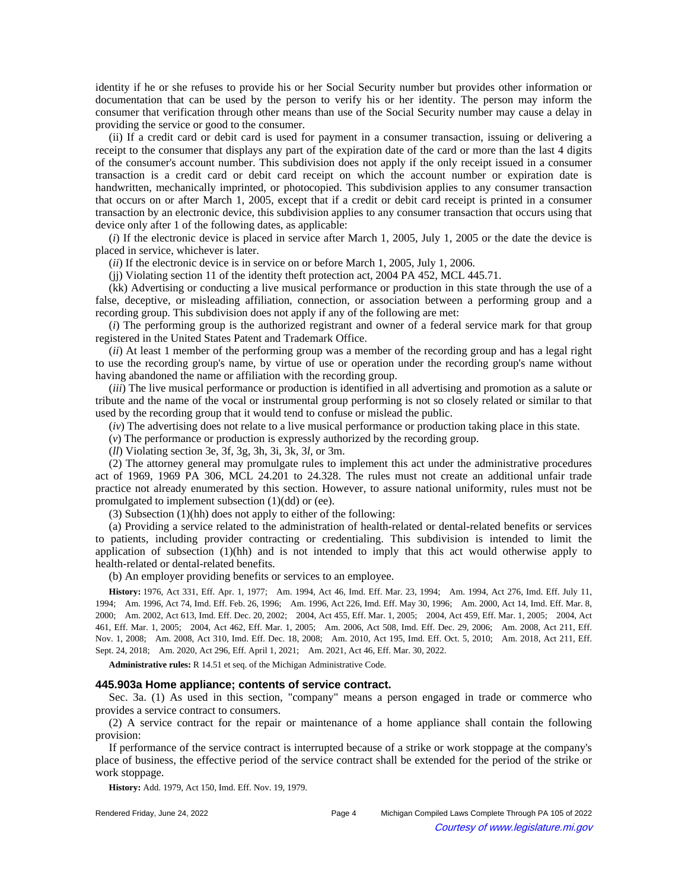identity if he or she refuses to provide his or her Social Security number but provides other information or documentation that can be used by the person to verify his or her identity. The person may inform the consumer that verification through other means than use of the Social Security number may cause a delay in providing the service or good to the consumer.

(ii) If a credit card or debit card is used for payment in a consumer transaction, issuing or delivering a receipt to the consumer that displays any part of the expiration date of the card or more than the last 4 digits of the consumer's account number. This subdivision does not apply if the only receipt issued in a consumer transaction is a credit card or debit card receipt on which the account number or expiration date is handwritten, mechanically imprinted, or photocopied. This subdivision applies to any consumer transaction that occurs on or after March 1, 2005, except that if a credit or debit card receipt is printed in a consumer transaction by an electronic device, this subdivision applies to any consumer transaction that occurs using that device only after 1 of the following dates, as applicable:

(*i*) If the electronic device is placed in service after March 1, 2005, July 1, 2005 or the date the device is placed in service, whichever is later.

(*ii*) If the electronic device is in service on or before March 1, 2005, July 1, 2006.

(jj) Violating section 11 of the identity theft protection act, 2004 PA 452, MCL 445.71.

(kk) Advertising or conducting a live musical performance or production in this state through the use of a false, deceptive, or misleading affiliation, connection, or association between a performing group and a recording group. This subdivision does not apply if any of the following are met:

(*i*) The performing group is the authorized registrant and owner of a federal service mark for that group registered in the United States Patent and Trademark Office.

(*ii*) At least 1 member of the performing group was a member of the recording group and has a legal right to use the recording group's name, by virtue of use or operation under the recording group's name without having abandoned the name or affiliation with the recording group.

(*iii*) The live musical performance or production is identified in all advertising and promotion as a salute or tribute and the name of the vocal or instrumental group performing is not so closely related or similar to that used by the recording group that it would tend to confuse or mislead the public.

(*iv*) The advertising does not relate to a live musical performance or production taking place in this state.

(*v*) The performance or production is expressly authorized by the recording group.

(*ll*) Violating section 3e, 3f, 3g, 3h, 3i, 3k, 3*l*, or 3m.

(2) The attorney general may promulgate rules to implement this act under the administrative procedures act of 1969, 1969 PA 306, MCL 24.201 to 24.328. The rules must not create an additional unfair trade practice not already enumerated by this section. However, to assure national uniformity, rules must not be promulgated to implement subsection (1)(dd) or (ee).

(3) Subsection (1)(hh) does not apply to either of the following:

(a) Providing a service related to the administration of health-related or dental-related benefits or services to patients, including provider contracting or credentialing. This subdivision is intended to limit the application of subsection (1)(hh) and is not intended to imply that this act would otherwise apply to health-related or dental-related benefits.

(b) An employer providing benefits or services to an employee.

History: 1976, Act 331, Eff. Apr. 1, 1977;--Am. 1994, Act 46, Imd. Eff. Mar. 23, 1994;--Am. 1994, Act 276, Imd. Eff. July 11, 1994;—Am. 1996, Act 74, Imd. Eff. Feb. 26, 1996;—Am. 1996, Act 226, Imd. Eff. May 30, 1996;—Am. 2000, Act 14, Imd. Eff. Mar. 8, 2000;--Am. 2002, Act 613, Imd. Eff. Dec. 20, 2002;--2004, Act 455, Eff. Mar. 1, 2005;--2004, Act 459, Eff. Mar. 1, 2005;--2004, Act 461, Eff. Mar. 1, 2005;—2004, Act 462, Eff. Mar. 1, 2005;—Am. 2006, Act 508, Imd. Eff. Dec. 29, 2006;—Am. 2008, Act 211, Eff. Nov. 1, 2008;—Am. 2008, Act 310, Imd. Eff. Dec. 18, 2008;—Am. 2010, Act 195, Imd. Eff. Oct. 5, 2010;—Am. 2018, Act 211, Eff. Sept. 24, 2018;-Am. 2020, Act 296, Eff. April 1, 2021;-Am. 2021, Act 46, Eff. Mar. 30, 2022.

**Administrative rules:** R 14.51 et seq. of the Michigan Administrative Code.

#### **445.903a Home appliance; contents of service contract.**

Sec. 3a. (1) As used in this section, "company" means a person engaged in trade or commerce who provides a service contract to consumers.

(2) A service contract for the repair or maintenance of a home appliance shall contain the following provision:

If performance of the service contract is interrupted because of a strike or work stoppage at the company's place of business, the effective period of the service contract shall be extended for the period of the strike or work stoppage.

**History:** Add. 1979, Act 150, Imd. Eff. Nov. 19, 1979.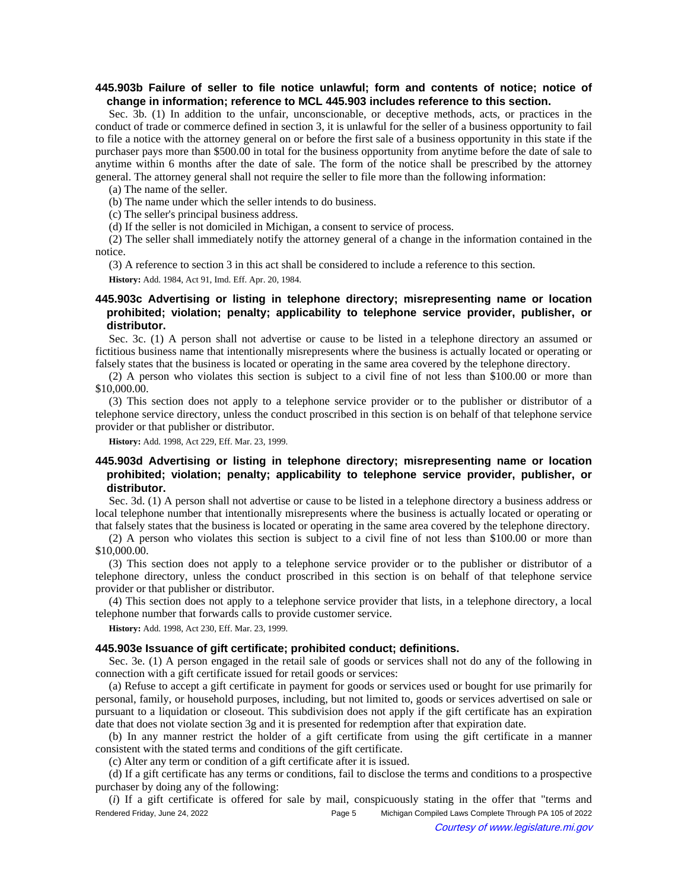## **445.903b Failure of seller to file notice unlawful; form and contents of notice; notice of change in information; reference to MCL 445.903 includes reference to this section.**

Sec. 3b. (1) In addition to the unfair, unconscionable, or deceptive methods, acts, or practices in the conduct of trade or commerce defined in section 3, it is unlawful for the seller of a business opportunity to fail to file a notice with the attorney general on or before the first sale of a business opportunity in this state if the purchaser pays more than \$500.00 in total for the business opportunity from anytime before the date of sale to anytime within 6 months after the date of sale. The form of the notice shall be prescribed by the attorney general. The attorney general shall not require the seller to file more than the following information:

(a) The name of the seller.

(b) The name under which the seller intends to do business.

(c) The seller's principal business address.

(d) If the seller is not domiciled in Michigan, a consent to service of process.

(2) The seller shall immediately notify the attorney general of a change in the information contained in the notice.

(3) A reference to section 3 in this act shall be considered to include a reference to this section.

**History:** Add. 1984, Act 91, Imd. Eff. Apr. 20, 1984.

## **445.903c Advertising or listing in telephone directory; misrepresenting name or location prohibited; violation; penalty; applicability to telephone service provider, publisher, or distributor.**

Sec. 3c. (1) A person shall not advertise or cause to be listed in a telephone directory an assumed or fictitious business name that intentionally misrepresents where the business is actually located or operating or falsely states that the business is located or operating in the same area covered by the telephone directory.

(2) A person who violates this section is subject to a civil fine of not less than \$100.00 or more than \$10,000.00.

(3) This section does not apply to a telephone service provider or to the publisher or distributor of a telephone service directory, unless the conduct proscribed in this section is on behalf of that telephone service provider or that publisher or distributor.

**History:** Add. 1998, Act 229, Eff. Mar. 23, 1999.

## **445.903d Advertising or listing in telephone directory; misrepresenting name or location prohibited; violation; penalty; applicability to telephone service provider, publisher, or distributor.**

Sec. 3d. (1) A person shall not advertise or cause to be listed in a telephone directory a business address or local telephone number that intentionally misrepresents where the business is actually located or operating or that falsely states that the business is located or operating in the same area covered by the telephone directory.

(2) A person who violates this section is subject to a civil fine of not less than \$100.00 or more than \$10,000.00.

(3) This section does not apply to a telephone service provider or to the publisher or distributor of a telephone directory, unless the conduct proscribed in this section is on behalf of that telephone service provider or that publisher or distributor.

(4) This section does not apply to a telephone service provider that lists, in a telephone directory, a local telephone number that forwards calls to provide customer service.

**History:** Add. 1998, Act 230, Eff. Mar. 23, 1999.

## **445.903e Issuance of gift certificate; prohibited conduct; definitions.**

Sec. 3e. (1) A person engaged in the retail sale of goods or services shall not do any of the following in connection with a gift certificate issued for retail goods or services:

(a) Refuse to accept a gift certificate in payment for goods or services used or bought for use primarily for personal, family, or household purposes, including, but not limited to, goods or services advertised on sale or pursuant to a liquidation or closeout. This subdivision does not apply if the gift certificate has an expiration date that does not violate section 3g and it is presented for redemption after that expiration date.

(b) In any manner restrict the holder of a gift certificate from using the gift certificate in a manner consistent with the stated terms and conditions of the gift certificate.

(c) Alter any term or condition of a gift certificate after it is issued.

(d) If a gift certificate has any terms or conditions, fail to disclose the terms and conditions to a prospective purchaser by doing any of the following:

(*i*) If a gift certificate is offered for sale by mail, conspicuously stating in the offer that "terms and Rendered Friday, June 24, 2022 Page 5 Michigan Compiled Laws Complete Through PA 105 of 2022 Courtesy of www.legislature.mi.gov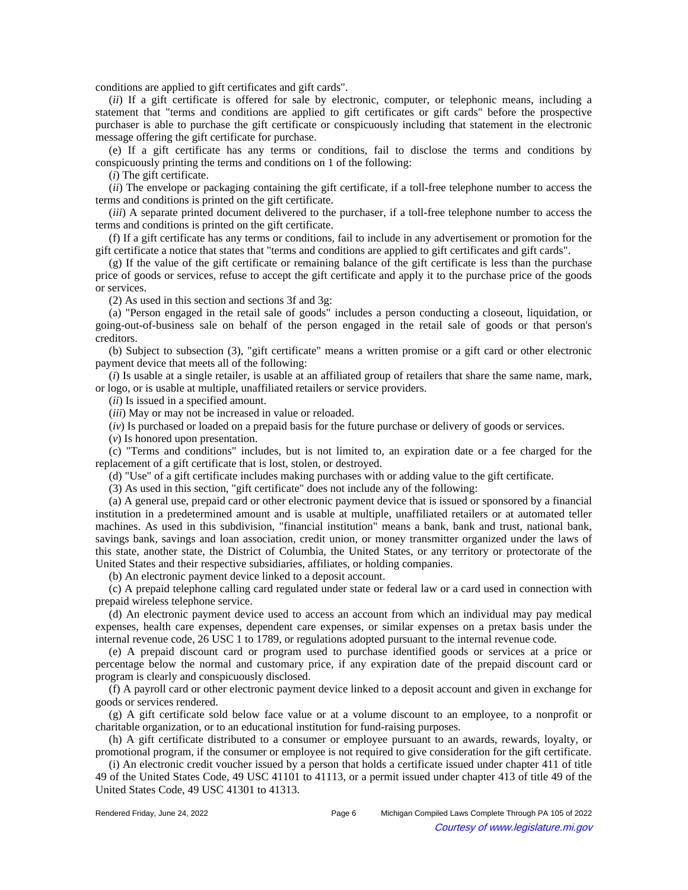conditions are applied to gift certificates and gift cards".

(*ii*) If a gift certificate is offered for sale by electronic, computer, or telephonic means, including a statement that "terms and conditions are applied to gift certificates or gift cards" before the prospective purchaser is able to purchase the gift certificate or conspicuously including that statement in the electronic message offering the gift certificate for purchase.

(e) If a gift certificate has any terms or conditions, fail to disclose the terms and conditions by conspicuously printing the terms and conditions on 1 of the following:

(*i*) The gift certificate.

(*ii*) The envelope or packaging containing the gift certificate, if a toll-free telephone number to access the terms and conditions is printed on the gift certificate.

(*iii*) A separate printed document delivered to the purchaser, if a toll-free telephone number to access the terms and conditions is printed on the gift certificate.

(f) If a gift certificate has any terms or conditions, fail to include in any advertisement or promotion for the gift certificate a notice that states that "terms and conditions are applied to gift certificates and gift cards".

(g) If the value of the gift certificate or remaining balance of the gift certificate is less than the purchase price of goods or services, refuse to accept the gift certificate and apply it to the purchase price of the goods or services.

(2) As used in this section and sections 3f and 3g:

(a) "Person engaged in the retail sale of goods" includes a person conducting a closeout, liquidation, or going-out-of-business sale on behalf of the person engaged in the retail sale of goods or that person's creditors.

(b) Subject to subsection (3), "gift certificate" means a written promise or a gift card or other electronic payment device that meets all of the following:

(*i*) Is usable at a single retailer, is usable at an affiliated group of retailers that share the same name, mark, or logo, or is usable at multiple, unaffiliated retailers or service providers.

(*ii*) Is issued in a specified amount.

(*iii*) May or may not be increased in value or reloaded.

(*iv*) Is purchased or loaded on a prepaid basis for the future purchase or delivery of goods or services.

(*v*) Is honored upon presentation.

(c) "Terms and conditions" includes, but is not limited to, an expiration date or a fee charged for the replacement of a gift certificate that is lost, stolen, or destroyed.

(d) "Use" of a gift certificate includes making purchases with or adding value to the gift certificate.

(3) As used in this section, "gift certificate" does not include any of the following:

(a) A general use, prepaid card or other electronic payment device that is issued or sponsored by a financial institution in a predetermined amount and is usable at multiple, unaffiliated retailers or at automated teller machines. As used in this subdivision, "financial institution" means a bank, bank and trust, national bank, savings bank, savings and loan association, credit union, or money transmitter organized under the laws of this state, another state, the District of Columbia, the United States, or any territory or protectorate of the United States and their respective subsidiaries, affiliates, or holding companies.

(b) An electronic payment device linked to a deposit account.

(c) A prepaid telephone calling card regulated under state or federal law or a card used in connection with prepaid wireless telephone service.

(d) An electronic payment device used to access an account from which an individual may pay medical expenses, health care expenses, dependent care expenses, or similar expenses on a pretax basis under the internal revenue code, 26 USC 1 to 1789, or regulations adopted pursuant to the internal revenue code.

(e) A prepaid discount card or program used to purchase identified goods or services at a price or percentage below the normal and customary price, if any expiration date of the prepaid discount card or program is clearly and conspicuously disclosed.

(f) A payroll card or other electronic payment device linked to a deposit account and given in exchange for goods or services rendered.

(g) A gift certificate sold below face value or at a volume discount to an employee, to a nonprofit or charitable organization, or to an educational institution for fund-raising purposes.

(h) A gift certificate distributed to a consumer or employee pursuant to an awards, rewards, loyalty, or promotional program, if the consumer or employee is not required to give consideration for the gift certificate.

(i) An electronic credit voucher issued by a person that holds a certificate issued under chapter 411 of title 49 of the United States Code, 49 USC 41101 to 41113, or a permit issued under chapter 413 of title 49 of the United States Code, 49 USC 41301 to 41313.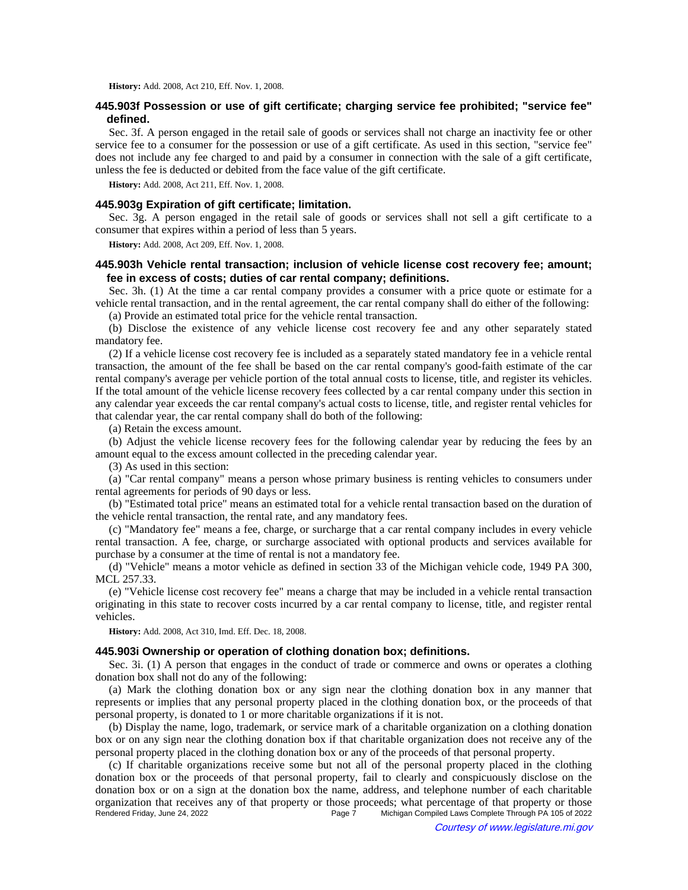**History:** Add. 2008, Act 210, Eff. Nov. 1, 2008.

## **445.903f Possession or use of gift certificate; charging service fee prohibited; "service fee" defined.**

Sec. 3f. A person engaged in the retail sale of goods or services shall not charge an inactivity fee or other service fee to a consumer for the possession or use of a gift certificate. As used in this section, "service fee" does not include any fee charged to and paid by a consumer in connection with the sale of a gift certificate, unless the fee is deducted or debited from the face value of the gift certificate.

**History:** Add. 2008, Act 211, Eff. Nov. 1, 2008.

#### **445.903g Expiration of gift certificate; limitation.**

Sec. 3g. A person engaged in the retail sale of goods or services shall not sell a gift certificate to a consumer that expires within a period of less than 5 years.

**History:** Add. 2008, Act 209, Eff. Nov. 1, 2008.

## **445.903h Vehicle rental transaction; inclusion of vehicle license cost recovery fee; amount; fee in excess of costs; duties of car rental company; definitions.**

Sec. 3h. (1) At the time a car rental company provides a consumer with a price quote or estimate for a vehicle rental transaction, and in the rental agreement, the car rental company shall do either of the following:

(a) Provide an estimated total price for the vehicle rental transaction.

(b) Disclose the existence of any vehicle license cost recovery fee and any other separately stated mandatory fee.

(2) If a vehicle license cost recovery fee is included as a separately stated mandatory fee in a vehicle rental transaction, the amount of the fee shall be based on the car rental company's good-faith estimate of the car rental company's average per vehicle portion of the total annual costs to license, title, and register its vehicles. If the total amount of the vehicle license recovery fees collected by a car rental company under this section in any calendar year exceeds the car rental company's actual costs to license, title, and register rental vehicles for that calendar year, the car rental company shall do both of the following:

(a) Retain the excess amount.

(b) Adjust the vehicle license recovery fees for the following calendar year by reducing the fees by an amount equal to the excess amount collected in the preceding calendar year.

(3) As used in this section:

(a) "Car rental company" means a person whose primary business is renting vehicles to consumers under rental agreements for periods of 90 days or less.

(b) "Estimated total price" means an estimated total for a vehicle rental transaction based on the duration of the vehicle rental transaction, the rental rate, and any mandatory fees.

(c) "Mandatory fee" means a fee, charge, or surcharge that a car rental company includes in every vehicle rental transaction. A fee, charge, or surcharge associated with optional products and services available for purchase by a consumer at the time of rental is not a mandatory fee.

(d) "Vehicle" means a motor vehicle as defined in section 33 of the Michigan vehicle code, 1949 PA 300, MCL 257.33.

(e) "Vehicle license cost recovery fee" means a charge that may be included in a vehicle rental transaction originating in this state to recover costs incurred by a car rental company to license, title, and register rental vehicles.

**History:** Add. 2008, Act 310, Imd. Eff. Dec. 18, 2008.

#### **445.903i Ownership or operation of clothing donation box; definitions.**

Sec. 3i. (1) A person that engages in the conduct of trade or commerce and owns or operates a clothing donation box shall not do any of the following:

(a) Mark the clothing donation box or any sign near the clothing donation box in any manner that represents or implies that any personal property placed in the clothing donation box, or the proceeds of that personal property, is donated to 1 or more charitable organizations if it is not.

(b) Display the name, logo, trademark, or service mark of a charitable organization on a clothing donation box or on any sign near the clothing donation box if that charitable organization does not receive any of the personal property placed in the clothing donation box or any of the proceeds of that personal property.

(c) If charitable organizations receive some but not all of the personal property placed in the clothing donation box or the proceeds of that personal property, fail to clearly and conspicuously disclose on the donation box or on a sign at the donation box the name, address, and telephone number of each charitable organization that receives any of that property or those proceeds; what percentage of that property or those<br>Page 7 Michigan Compiled Laws Complete Through PA 105 of 2022 Michigan Compiled Laws Complete Through PA 105 of 2022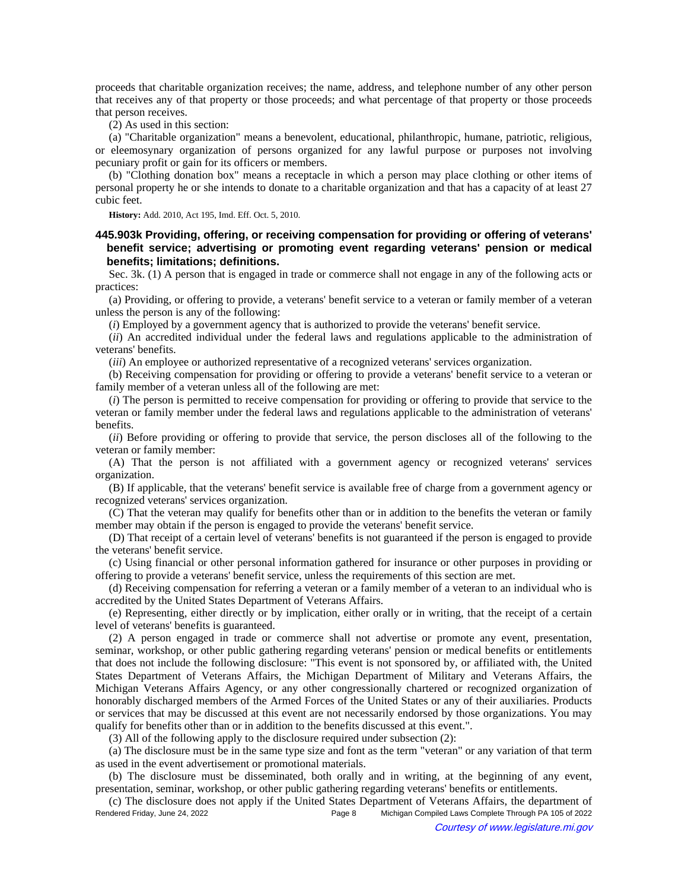proceeds that charitable organization receives; the name, address, and telephone number of any other person that receives any of that property or those proceeds; and what percentage of that property or those proceeds that person receives.

(2) As used in this section:

(a) "Charitable organization" means a benevolent, educational, philanthropic, humane, patriotic, religious, or eleemosynary organization of persons organized for any lawful purpose or purposes not involving pecuniary profit or gain for its officers or members.

(b) "Clothing donation box" means a receptacle in which a person may place clothing or other items of personal property he or she intends to donate to a charitable organization and that has a capacity of at least 27 cubic feet.

**History:** Add. 2010, Act 195, Imd. Eff. Oct. 5, 2010.

## **445.903k Providing, offering, or receiving compensation for providing or offering of veterans' benefit service; advertising or promoting event regarding veterans' pension or medical benefits; limitations; definitions.**

Sec. 3k. (1) A person that is engaged in trade or commerce shall not engage in any of the following acts or practices:

(a) Providing, or offering to provide, a veterans' benefit service to a veteran or family member of a veteran unless the person is any of the following:

(*i*) Employed by a government agency that is authorized to provide the veterans' benefit service.

(*ii*) An accredited individual under the federal laws and regulations applicable to the administration of veterans' benefits.

(*iii*) An employee or authorized representative of a recognized veterans' services organization.

(b) Receiving compensation for providing or offering to provide a veterans' benefit service to a veteran or family member of a veteran unless all of the following are met:

(*i*) The person is permitted to receive compensation for providing or offering to provide that service to the veteran or family member under the federal laws and regulations applicable to the administration of veterans' benefits.

(*ii*) Before providing or offering to provide that service, the person discloses all of the following to the veteran or family member:

(A) That the person is not affiliated with a government agency or recognized veterans' services organization.

(B) If applicable, that the veterans' benefit service is available free of charge from a government agency or recognized veterans' services organization.

(C) That the veteran may qualify for benefits other than or in addition to the benefits the veteran or family member may obtain if the person is engaged to provide the veterans' benefit service.

(D) That receipt of a certain level of veterans' benefits is not guaranteed if the person is engaged to provide the veterans' benefit service.

(c) Using financial or other personal information gathered for insurance or other purposes in providing or offering to provide a veterans' benefit service, unless the requirements of this section are met.

(d) Receiving compensation for referring a veteran or a family member of a veteran to an individual who is accredited by the United States Department of Veterans Affairs.

(e) Representing, either directly or by implication, either orally or in writing, that the receipt of a certain level of veterans' benefits is guaranteed.

(2) A person engaged in trade or commerce shall not advertise or promote any event, presentation, seminar, workshop, or other public gathering regarding veterans' pension or medical benefits or entitlements that does not include the following disclosure: "This event is not sponsored by, or affiliated with, the United States Department of Veterans Affairs, the Michigan Department of Military and Veterans Affairs, the Michigan Veterans Affairs Agency, or any other congressionally chartered or recognized organization of honorably discharged members of the Armed Forces of the United States or any of their auxiliaries. Products or services that may be discussed at this event are not necessarily endorsed by those organizations. You may qualify for benefits other than or in addition to the benefits discussed at this event.".

(3) All of the following apply to the disclosure required under subsection (2):

(a) The disclosure must be in the same type size and font as the term "veteran" or any variation of that term as used in the event advertisement or promotional materials.

(b) The disclosure must be disseminated, both orally and in writing, at the beginning of any event, presentation, seminar, workshop, or other public gathering regarding veterans' benefits or entitlements.

(c) The disclosure does not apply if the United States Department of Veterans Affairs, the department of Rendered Friday, June 24, 2022 Page 8 Michigan Compiled Laws Complete Through PA 105 of 2022 Courtesy of www.legislature.mi.gov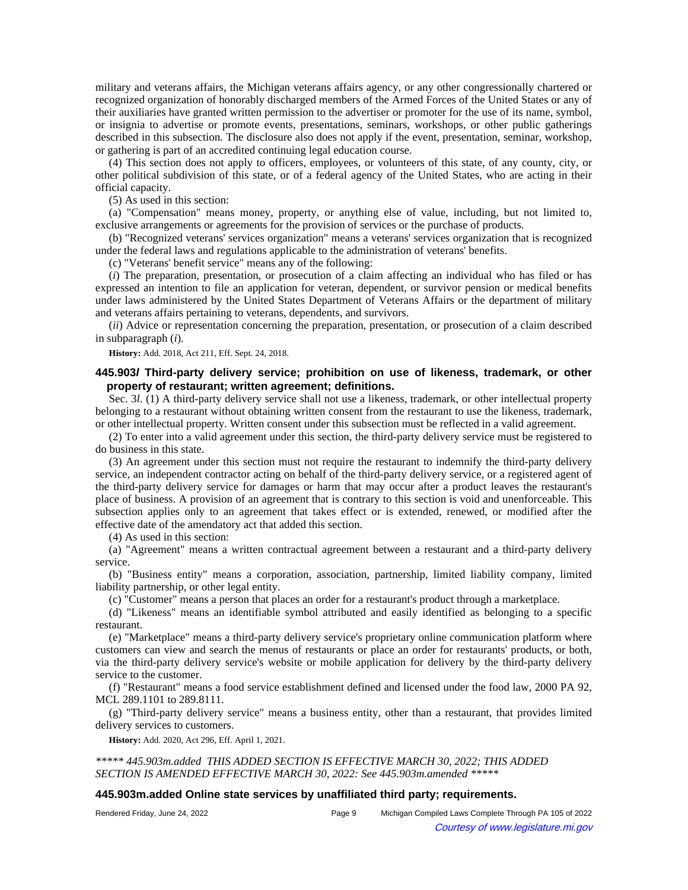military and veterans affairs, the Michigan veterans affairs agency, or any other congressionally chartered or recognized organization of honorably discharged members of the Armed Forces of the United States or any of their auxiliaries have granted written permission to the advertiser or promoter for the use of its name, symbol, or insignia to advertise or promote events, presentations, seminars, workshops, or other public gatherings described in this subsection. The disclosure also does not apply if the event, presentation, seminar, workshop, or gathering is part of an accredited continuing legal education course.

(4) This section does not apply to officers, employees, or volunteers of this state, of any county, city, or other political subdivision of this state, or of a federal agency of the United States, who are acting in their official capacity.

(5) As used in this section:

(a) "Compensation" means money, property, or anything else of value, including, but not limited to, exclusive arrangements or agreements for the provision of services or the purchase of products.

(b) "Recognized veterans' services organization" means a veterans' services organization that is recognized under the federal laws and regulations applicable to the administration of veterans' benefits.

(c) "Veterans' benefit service" means any of the following:

(*i*) The preparation, presentation, or prosecution of a claim affecting an individual who has filed or has expressed an intention to file an application for veteran, dependent, or survivor pension or medical benefits under laws administered by the United States Department of Veterans Affairs or the department of military and veterans affairs pertaining to veterans, dependents, and survivors.

(*ii*) Advice or representation concerning the preparation, presentation, or prosecution of a claim described in subparagraph (*i*).

**History:** Add. 2018, Act 211, Eff. Sept. 24, 2018.

## **445.903l Third-party delivery service; prohibition on use of likeness, trademark, or other property of restaurant; written agreement; definitions.**

Sec. 3*l.* (1) A third-party delivery service shall not use a likeness, trademark, or other intellectual property belonging to a restaurant without obtaining written consent from the restaurant to use the likeness, trademark, or other intellectual property. Written consent under this subsection must be reflected in a valid agreement.

(2) To enter into a valid agreement under this section, the third-party delivery service must be registered to do business in this state.

(3) An agreement under this section must not require the restaurant to indemnify the third-party delivery service, an independent contractor acting on behalf of the third-party delivery service, or a registered agent of the third-party delivery service for damages or harm that may occur after a product leaves the restaurant's place of business. A provision of an agreement that is contrary to this section is void and unenforceable. This subsection applies only to an agreement that takes effect or is extended, renewed, or modified after the effective date of the amendatory act that added this section.

(4) As used in this section:

(a) "Agreement" means a written contractual agreement between a restaurant and a third-party delivery service.

(b) "Business entity" means a corporation, association, partnership, limited liability company, limited liability partnership, or other legal entity.

(c) "Customer" means a person that places an order for a restaurant's product through a marketplace.

(d) "Likeness" means an identifiable symbol attributed and easily identified as belonging to a specific restaurant.

(e) "Marketplace" means a third-party delivery service's proprietary online communication platform where customers can view and search the menus of restaurants or place an order for restaurants' products, or both, via the third-party delivery service's website or mobile application for delivery by the third-party delivery service to the customer.

(f) "Restaurant" means a food service establishment defined and licensed under the food law, 2000 PA 92, MCL 289.1101 to 289.8111.

(g) "Third-party delivery service" means a business entity, other than a restaurant, that provides limited delivery services to customers.

**History:** Add. 2020, Act 296, Eff. April 1, 2021.

*\*\*\*\*\* 445.903m.added THIS ADDED SECTION IS EFFECTIVE MARCH 30, 2022; THIS ADDED SECTION IS AMENDED EFFECTIVE MARCH 30, 2022: See 445.903m.amended \*\*\*\*\** 

#### **445.903m.added Online state services by unaffiliated third party; requirements.**

| Rendered Friday, June 24, 2022 |  |  |  |  |
|--------------------------------|--|--|--|--|
|--------------------------------|--|--|--|--|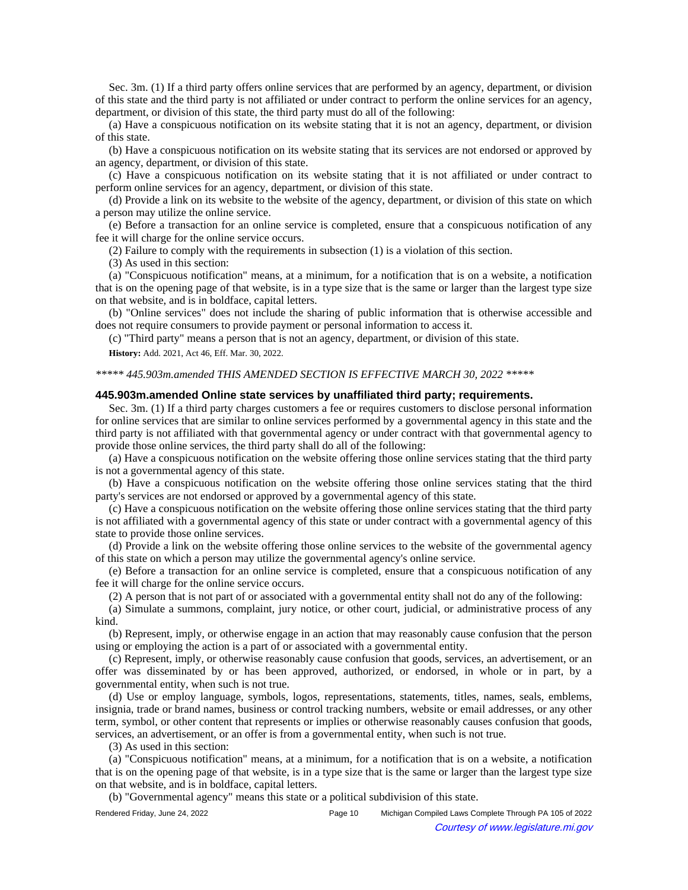Sec. 3m. (1) If a third party offers online services that are performed by an agency, department, or division of this state and the third party is not affiliated or under contract to perform the online services for an agency, department, or division of this state, the third party must do all of the following:

(a) Have a conspicuous notification on its website stating that it is not an agency, department, or division of this state.

(b) Have a conspicuous notification on its website stating that its services are not endorsed or approved by an agency, department, or division of this state.

(c) Have a conspicuous notification on its website stating that it is not affiliated or under contract to perform online services for an agency, department, or division of this state.

(d) Provide a link on its website to the website of the agency, department, or division of this state on which a person may utilize the online service.

(e) Before a transaction for an online service is completed, ensure that a conspicuous notification of any fee it will charge for the online service occurs.

(2) Failure to comply with the requirements in subsection (1) is a violation of this section.

(3) As used in this section:

(a) "Conspicuous notification" means, at a minimum, for a notification that is on a website, a notification that is on the opening page of that website, is in a type size that is the same or larger than the largest type size on that website, and is in boldface, capital letters.

(b) "Online services" does not include the sharing of public information that is otherwise accessible and does not require consumers to provide payment or personal information to access it.

(c) "Third party" means a person that is not an agency, department, or division of this state.

**History:** Add. 2021, Act 46, Eff. Mar. 30, 2022.

### *\*\*\*\*\* 445.903m.amended THIS AMENDED SECTION IS EFFECTIVE MARCH 30, 2022 \*\*\*\*\**

### **445.903m.amended Online state services by unaffiliated third party; requirements.**

Sec. 3m. (1) If a third party charges customers a fee or requires customers to disclose personal information for online services that are similar to online services performed by a governmental agency in this state and the third party is not affiliated with that governmental agency or under contract with that governmental agency to provide those online services, the third party shall do all of the following:

(a) Have a conspicuous notification on the website offering those online services stating that the third party is not a governmental agency of this state.

(b) Have a conspicuous notification on the website offering those online services stating that the third party's services are not endorsed or approved by a governmental agency of this state.

(c) Have a conspicuous notification on the website offering those online services stating that the third party is not affiliated with a governmental agency of this state or under contract with a governmental agency of this state to provide those online services.

(d) Provide a link on the website offering those online services to the website of the governmental agency of this state on which a person may utilize the governmental agency's online service.

(e) Before a transaction for an online service is completed, ensure that a conspicuous notification of any fee it will charge for the online service occurs.

(2) A person that is not part of or associated with a governmental entity shall not do any of the following:

(a) Simulate a summons, complaint, jury notice, or other court, judicial, or administrative process of any kind.

(b) Represent, imply, or otherwise engage in an action that may reasonably cause confusion that the person using or employing the action is a part of or associated with a governmental entity.

(c) Represent, imply, or otherwise reasonably cause confusion that goods, services, an advertisement, or an offer was disseminated by or has been approved, authorized, or endorsed, in whole or in part, by a governmental entity, when such is not true.

(d) Use or employ language, symbols, logos, representations, statements, titles, names, seals, emblems, insignia, trade or brand names, business or control tracking numbers, website or email addresses, or any other term, symbol, or other content that represents or implies or otherwise reasonably causes confusion that goods, services, an advertisement, or an offer is from a governmental entity, when such is not true.

(3) As used in this section:

(a) "Conspicuous notification" means, at a minimum, for a notification that is on a website, a notification that is on the opening page of that website, is in a type size that is the same or larger than the largest type size on that website, and is in boldface, capital letters.

(b) "Governmental agency" means this state or a political subdivision of this state.

Rendered Friday, June 24, 2022 Page 10 Michigan Compiled Laws Complete Through PA 105 of 2022 Courtesy of www.legislature.mi.gov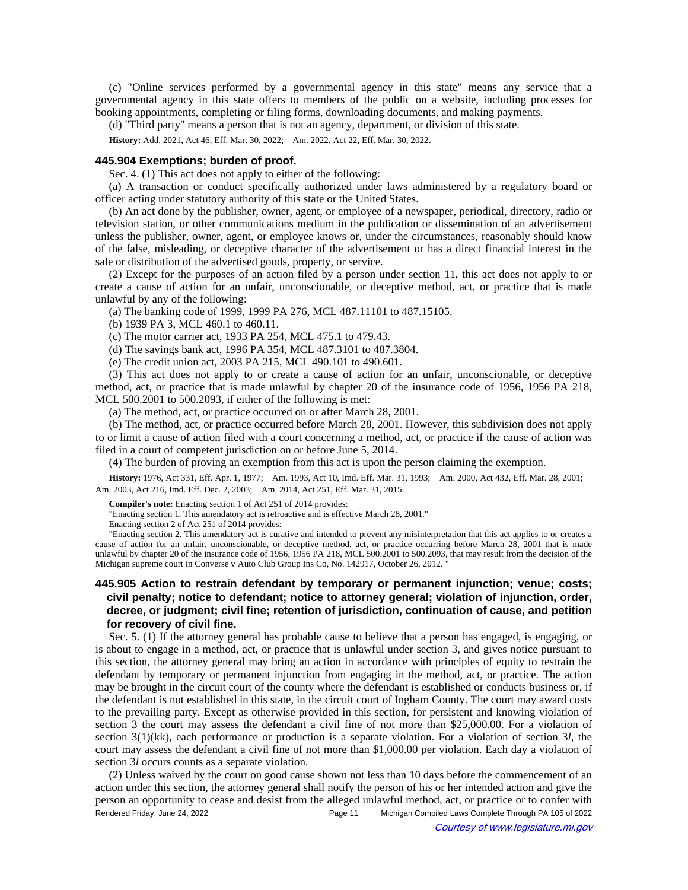(c) "Online services performed by a governmental agency in this state" means any service that a governmental agency in this state offers to members of the public on a website, including processes for booking appointments, completing or filing forms, downloading documents, and making payments.

(d) "Third party" means a person that is not an agency, department, or division of this state.

History: Add. 2021, Act 46, Eff. Mar. 30, 2022;-- Am. 2022, Act 22, Eff. Mar. 30, 2022.

### **445.904 Exemptions; burden of proof.**

Sec. 4. (1) This act does not apply to either of the following:

(a) A transaction or conduct specifically authorized under laws administered by a regulatory board or officer acting under statutory authority of this state or the United States.

(b) An act done by the publisher, owner, agent, or employee of a newspaper, periodical, directory, radio or television station, or other communications medium in the publication or dissemination of an advertisement unless the publisher, owner, agent, or employee knows or, under the circumstances, reasonably should know of the false, misleading, or deceptive character of the advertisement or has a direct financial interest in the sale or distribution of the advertised goods, property, or service.

(2) Except for the purposes of an action filed by a person under section 11, this act does not apply to or create a cause of action for an unfair, unconscionable, or deceptive method, act, or practice that is made unlawful by any of the following:

(a) The banking code of 1999, 1999 PA 276, MCL 487.11101 to 487.15105.

(b) 1939 PA 3, MCL 460.1 to 460.11.

(c) The motor carrier act, 1933 PA 254, MCL 475.1 to 479.43.

(d) The savings bank act, 1996 PA 354, MCL 487.3101 to 487.3804.

(e) The credit union act, 2003 PA 215, MCL 490.101 to 490.601.

(3) This act does not apply to or create a cause of action for an unfair, unconscionable, or deceptive method, act, or practice that is made unlawful by chapter 20 of the insurance code of 1956, 1956 PA 218, MCL 500.2001 to 500.2093, if either of the following is met:

(a) The method, act, or practice occurred on or after March 28, 2001.

(b) The method, act, or practice occurred before March 28, 2001. However, this subdivision does not apply to or limit a cause of action filed with a court concerning a method, act, or practice if the cause of action was filed in a court of competent jurisdiction on or before June 5, 2014.

(4) The burden of proving an exemption from this act is upon the person claiming the exemption.

History: 1976, Act 331, Eff. Apr. 1, 1977;--Am. 1993, Act 10, Imd. Eff. Mar. 31, 1993;--Am. 2000, Act 432, Eff. Mar. 28, 2001;--Am. 2003, Act 216, Imd. Eff. Dec. 2, 2003;-- Am. 2014, Act 251, Eff. Mar. 31, 2015.

**Compiler's note:** Enacting section 1 of Act 251 of 2014 provides:

"Enacting section 1. This amendatory act is retroactive and is effective March 28, 2001."

Enacting section 2 of Act 251 of 2014 provides:

"Enacting section 2. This amendatory act is curative and intended to prevent any misinterpretation that this act applies to or creates a cause of action for an unfair, unconscionable, or deceptive method, act, or practice occurring before March 28, 2001 that is made unlawful by chapter 20 of the insurance code of 1956, 1956 PA 218, MCL 500.2001 to 500.2093, that may result from the decision of the Michigan supreme court in Converse v Auto Club Group Ins Co, No. 142917, October 26, 2012.

## **445.905 Action to restrain defendant by temporary or permanent injunction; venue; costs; civil penalty; notice to defendant; notice to attorney general; violation of injunction, order, decree, or judgment; civil fine; retention of jurisdiction, continuation of cause, and petition for recovery of civil fine.**

Sec. 5. (1) If the attorney general has probable cause to believe that a person has engaged, is engaging, or is about to engage in a method, act, or practice that is unlawful under section 3, and gives notice pursuant to this section, the attorney general may bring an action in accordance with principles of equity to restrain the defendant by temporary or permanent injunction from engaging in the method, act, or practice. The action may be brought in the circuit court of the county where the defendant is established or conducts business or, if the defendant is not established in this state, in the circuit court of Ingham County. The court may award costs to the prevailing party. Except as otherwise provided in this section, for persistent and knowing violation of section 3 the court may assess the defendant a civil fine of not more than \$25,000.00. For a violation of section 3(1)(kk), each performance or production is a separate violation. For a violation of section 3*l*, the court may assess the defendant a civil fine of not more than \$1,000.00 per violation. Each day a violation of section 3*l* occurs counts as a separate violation.

(2) Unless waived by the court on good cause shown not less than 10 days before the commencement of an action under this section, the attorney general shall notify the person of his or her intended action and give the person an opportunity to cease and desist from the alleged unlawful method, act, or practice or to confer with Rendered Friday, June 24, 2022 Page 11 Michigan Compiled Laws Complete Through PA 105 of 2022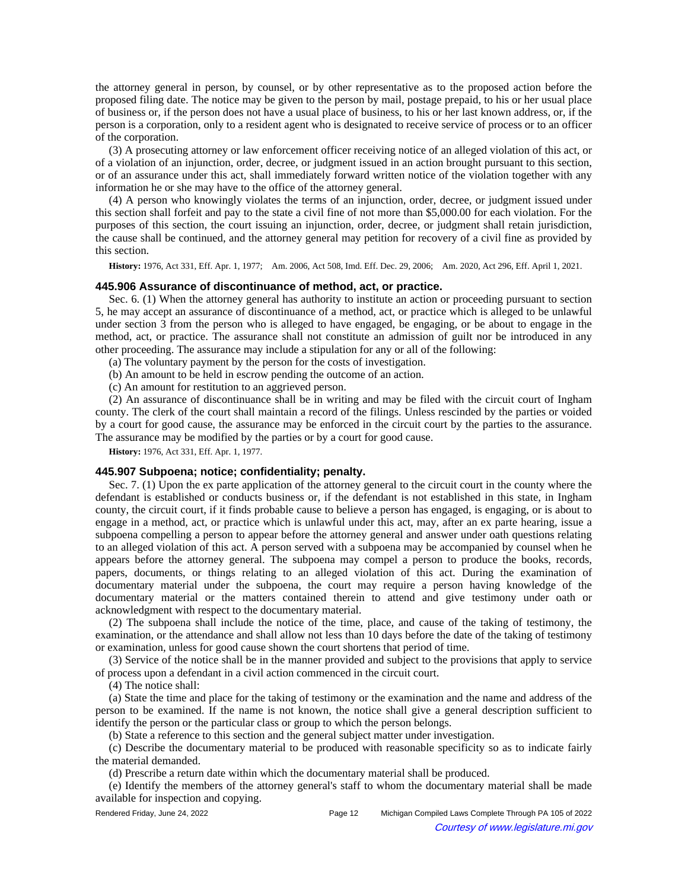the attorney general in person, by counsel, or by other representative as to the proposed action before the proposed filing date. The notice may be given to the person by mail, postage prepaid, to his or her usual place of business or, if the person does not have a usual place of business, to his or her last known address, or, if the person is a corporation, only to a resident agent who is designated to receive service of process or to an officer of the corporation.

(3) A prosecuting attorney or law enforcement officer receiving notice of an alleged violation of this act, or of a violation of an injunction, order, decree, or judgment issued in an action brought pursuant to this section, or of an assurance under this act, shall immediately forward written notice of the violation together with any information he or she may have to the office of the attorney general.

(4) A person who knowingly violates the terms of an injunction, order, decree, or judgment issued under this section shall forfeit and pay to the state a civil fine of not more than \$5,000.00 for each violation. For the purposes of this section, the court issuing an injunction, order, decree, or judgment shall retain jurisdiction, the cause shall be continued, and the attorney general may petition for recovery of a civil fine as provided by this section.

History: 1976, Act 331, Eff. Apr. 1, 1977;--Am. 2006, Act 508, Imd. Eff. Dec. 29, 2006;--Am. 2020, Act 296, Eff. April 1, 2021.

#### **445.906 Assurance of discontinuance of method, act, or practice.**

Sec. 6. (1) When the attorney general has authority to institute an action or proceeding pursuant to section 5, he may accept an assurance of discontinuance of a method, act, or practice which is alleged to be unlawful under section  $\overline{3}$  from the person who is alleged to have engaged, be engaging, or be about to engage in the method, act, or practice. The assurance shall not constitute an admission of guilt nor be introduced in any other proceeding. The assurance may include a stipulation for any or all of the following:

(a) The voluntary payment by the person for the costs of investigation.

(b) An amount to be held in escrow pending the outcome of an action.

(c) An amount for restitution to an aggrieved person.

(2) An assurance of discontinuance shall be in writing and may be filed with the circuit court of Ingham county. The clerk of the court shall maintain a record of the filings. Unless rescinded by the parties or voided by a court for good cause, the assurance may be enforced in the circuit court by the parties to the assurance. The assurance may be modified by the parties or by a court for good cause.

**History:** 1976, Act 331, Eff. Apr. 1, 1977.

#### **445.907 Subpoena; notice; confidentiality; penalty.**

Sec. 7. (1) Upon the ex parte application of the attorney general to the circuit court in the county where the defendant is established or conducts business or, if the defendant is not established in this state, in Ingham county, the circuit court, if it finds probable cause to believe a person has engaged, is engaging, or is about to engage in a method, act, or practice which is unlawful under this act, may, after an ex parte hearing, issue a subpoena compelling a person to appear before the attorney general and answer under oath questions relating to an alleged violation of this act. A person served with a subpoena may be accompanied by counsel when he appears before the attorney general. The subpoena may compel a person to produce the books, records, papers, documents, or things relating to an alleged violation of this act. During the examination of documentary material under the subpoena, the court may require a person having knowledge of the documentary material or the matters contained therein to attend and give testimony under oath or acknowledgment with respect to the documentary material.

(2) The subpoena shall include the notice of the time, place, and cause of the taking of testimony, the examination, or the attendance and shall allow not less than 10 days before the date of the taking of testimony or examination, unless for good cause shown the court shortens that period of time.

(3) Service of the notice shall be in the manner provided and subject to the provisions that apply to service of process upon a defendant in a civil action commenced in the circuit court.

(4) The notice shall:

(a) State the time and place for the taking of testimony or the examination and the name and address of the person to be examined. If the name is not known, the notice shall give a general description sufficient to identify the person or the particular class or group to which the person belongs.

(b) State a reference to this section and the general subject matter under investigation.

(c) Describe the documentary material to be produced with reasonable specificity so as to indicate fairly the material demanded.

(d) Prescribe a return date within which the documentary material shall be produced.

(e) Identify the members of the attorney general's staff to whom the documentary material shall be made available for inspection and copying.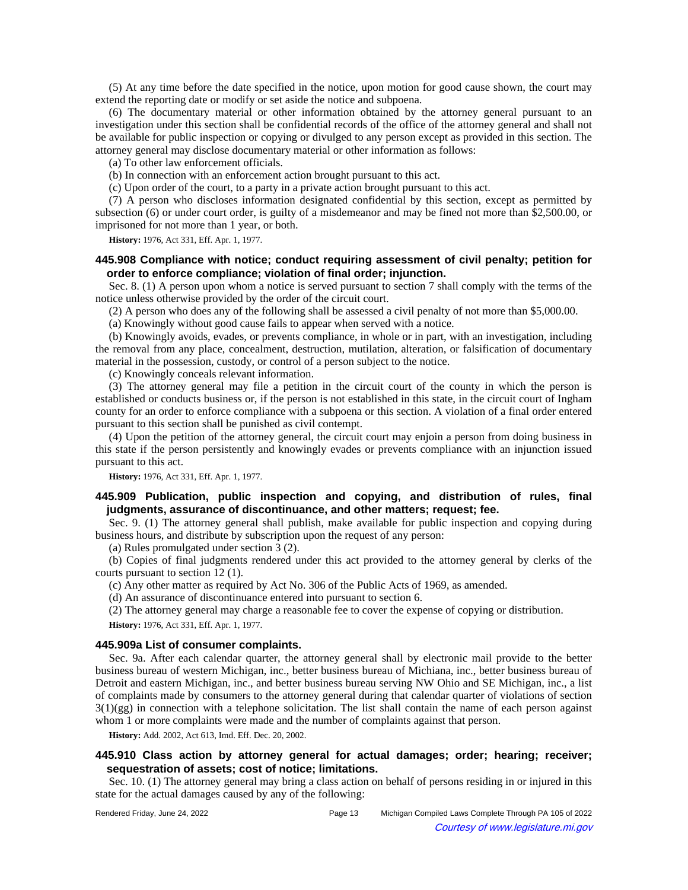(5) At any time before the date specified in the notice, upon motion for good cause shown, the court may extend the reporting date or modify or set aside the notice and subpoena.

(6) The documentary material or other information obtained by the attorney general pursuant to an investigation under this section shall be confidential records of the office of the attorney general and shall not be available for public inspection or copying or divulged to any person except as provided in this section. The attorney general may disclose documentary material or other information as follows:

(a) To other law enforcement officials.

(b) In connection with an enforcement action brought pursuant to this act.

(c) Upon order of the court, to a party in a private action brought pursuant to this act.

(7) A person who discloses information designated confidential by this section, except as permitted by subsection (6) or under court order, is guilty of a misdemeanor and may be fined not more than \$2,500.00, or imprisoned for not more than 1 year, or both.

**History:** 1976, Act 331, Eff. Apr. 1, 1977.

## **445.908 Compliance with notice; conduct requiring assessment of civil penalty; petition for order to enforce compliance; violation of final order; injunction.**

Sec. 8. (1) A person upon whom a notice is served pursuant to section 7 shall comply with the terms of the notice unless otherwise provided by the order of the circuit court.

(2) A person who does any of the following shall be assessed a civil penalty of not more than \$5,000.00.

(a) Knowingly without good cause fails to appear when served with a notice.

(b) Knowingly avoids, evades, or prevents compliance, in whole or in part, with an investigation, including the removal from any place, concealment, destruction, mutilation, alteration, or falsification of documentary material in the possession, custody, or control of a person subject to the notice.

(c) Knowingly conceals relevant information.

(3) The attorney general may file a petition in the circuit court of the county in which the person is established or conducts business or, if the person is not established in this state, in the circuit court of Ingham county for an order to enforce compliance with a subpoena or this section. A violation of a final order entered pursuant to this section shall be punished as civil contempt.

(4) Upon the petition of the attorney general, the circuit court may enjoin a person from doing business in this state if the person persistently and knowingly evades or prevents compliance with an injunction issued pursuant to this act.

**History:** 1976, Act 331, Eff. Apr. 1, 1977.

## **445.909 Publication, public inspection and copying, and distribution of rules, final judgments, assurance of discontinuance, and other matters; request; fee.**

Sec. 9. (1) The attorney general shall publish, make available for public inspection and copying during business hours, and distribute by subscription upon the request of any person:

(a) Rules promulgated under section 3 (2).

(b) Copies of final judgments rendered under this act provided to the attorney general by clerks of the courts pursuant to section 12 (1).

(c) Any other matter as required by Act No. 306 of the Public Acts of 1969, as amended.

(d) An assurance of discontinuance entered into pursuant to section 6.

(2) The attorney general may charge a reasonable fee to cover the expense of copying or distribution.

**History:** 1976, Act 331, Eff. Apr. 1, 1977.

#### **445.909a List of consumer complaints.**

Sec. 9a. After each calendar quarter, the attorney general shall by electronic mail provide to the better business bureau of western Michigan, inc., better business bureau of Michiana, inc., better business bureau of Detroit and eastern Michigan, inc., and better business bureau serving NW Ohio and SE Michigan, inc., a list of complaints made by consumers to the attorney general during that calendar quarter of violations of section  $3(1)(gg)$  in connection with a telephone solicitation. The list shall contain the name of each person against whom 1 or more complaints were made and the number of complaints against that person.

**History:** Add. 2002, Act 613, Imd. Eff. Dec. 20, 2002.

## **445.910 Class action by attorney general for actual damages; order; hearing; receiver; sequestration of assets; cost of notice; limitations.**

Sec. 10. (1) The attorney general may bring a class action on behalf of persons residing in or injured in this state for the actual damages caused by any of the following:

Rendered Friday, June 24, 2022 Page 13 Michigan Compiled Laws Complete Through PA 105 of 2022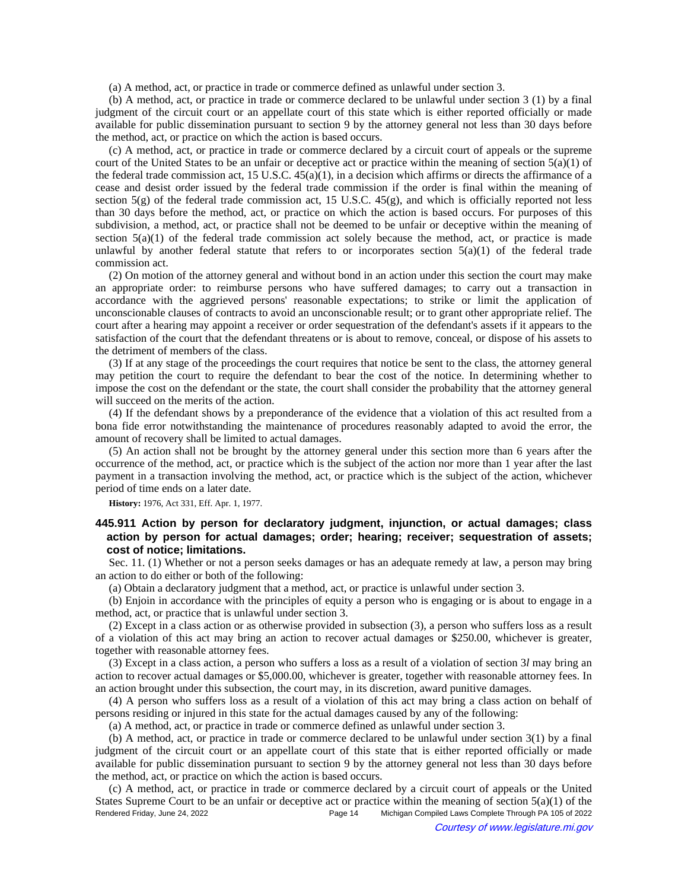(a) A method, act, or practice in trade or commerce defined as unlawful under section 3.

(b) A method, act, or practice in trade or commerce declared to be unlawful under section 3 (1) by a final judgment of the circuit court or an appellate court of this state which is either reported officially or made available for public dissemination pursuant to section 9 by the attorney general not less than 30 days before the method, act, or practice on which the action is based occurs.

(c) A method, act, or practice in trade or commerce declared by a circuit court of appeals or the supreme court of the United States to be an unfair or deceptive act or practice within the meaning of section  $5(a)(1)$  of the federal trade commission act,  $15 \text{ U.S.C. } 45(a)(1)$ , in a decision which affirms or directs the affirmance of a cease and desist order issued by the federal trade commission if the order is final within the meaning of section  $5(g)$  of the federal trade commission act, 15 U.S.C.  $45(g)$ , and which is officially reported not less than 30 days before the method, act, or practice on which the action is based occurs. For purposes of this subdivision, a method, act, or practice shall not be deemed to be unfair or deceptive within the meaning of section  $5(a)(1)$  of the federal trade commission act solely because the method, act, or practice is made unlawful by another federal statute that refers to or incorporates section  $5(a)(1)$  of the federal trade commission act.

(2) On motion of the attorney general and without bond in an action under this section the court may make an appropriate order: to reimburse persons who have suffered damages; to carry out a transaction in accordance with the aggrieved persons' reasonable expectations; to strike or limit the application of unconscionable clauses of contracts to avoid an unconscionable result; or to grant other appropriate relief. The court after a hearing may appoint a receiver or order sequestration of the defendant's assets if it appears to the satisfaction of the court that the defendant threatens or is about to remove, conceal, or dispose of his assets to the detriment of members of the class.

(3) If at any stage of the proceedings the court requires that notice be sent to the class, the attorney general may petition the court to require the defendant to bear the cost of the notice. In determining whether to impose the cost on the defendant or the state, the court shall consider the probability that the attorney general will succeed on the merits of the action.

(4) If the defendant shows by a preponderance of the evidence that a violation of this act resulted from a bona fide error notwithstanding the maintenance of procedures reasonably adapted to avoid the error, the amount of recovery shall be limited to actual damages.

(5) An action shall not be brought by the attorney general under this section more than 6 years after the occurrence of the method, act, or practice which is the subject of the action nor more than 1 year after the last payment in a transaction involving the method, act, or practice which is the subject of the action, whichever period of time ends on a later date.

**History:** 1976, Act 331, Eff. Apr. 1, 1977.

## **445.911 Action by person for declaratory judgment, injunction, or actual damages; class action by person for actual damages; order; hearing; receiver; sequestration of assets; cost of notice; limitations.**

Sec. 11. (1) Whether or not a person seeks damages or has an adequate remedy at law, a person may bring an action to do either or both of the following:

(a) Obtain a declaratory judgment that a method, act, or practice is unlawful under section 3.

(b) Enjoin in accordance with the principles of equity a person who is engaging or is about to engage in a method, act, or practice that is unlawful under section 3.

(2) Except in a class action or as otherwise provided in subsection (3), a person who suffers loss as a result of a violation of this act may bring an action to recover actual damages or \$250.00, whichever is greater, together with reasonable attorney fees.

(3) Except in a class action, a person who suffers a loss as a result of a violation of section 3*l* may bring an action to recover actual damages or \$5,000.00, whichever is greater, together with reasonable attorney fees. In an action brought under this subsection, the court may, in its discretion, award punitive damages.

(4) A person who suffers loss as a result of a violation of this act may bring a class action on behalf of persons residing or injured in this state for the actual damages caused by any of the following:

(a) A method, act, or practice in trade or commerce defined as unlawful under section 3.

(b) A method, act, or practice in trade or commerce declared to be unlawful under section 3(1) by a final judgment of the circuit court or an appellate court of this state that is either reported officially or made available for public dissemination pursuant to section 9 by the attorney general not less than 30 days before the method, act, or practice on which the action is based occurs.

(c) A method, act, or practice in trade or commerce declared by a circuit court of appeals or the United States Supreme Court to be an unfair or deceptive act or practice within the meaning of section  $5(a)(1)$  of the Rendered Friday, June 24, 2022 **Page 14** Michigan Compiled Laws Complete Through PA 105 of 2022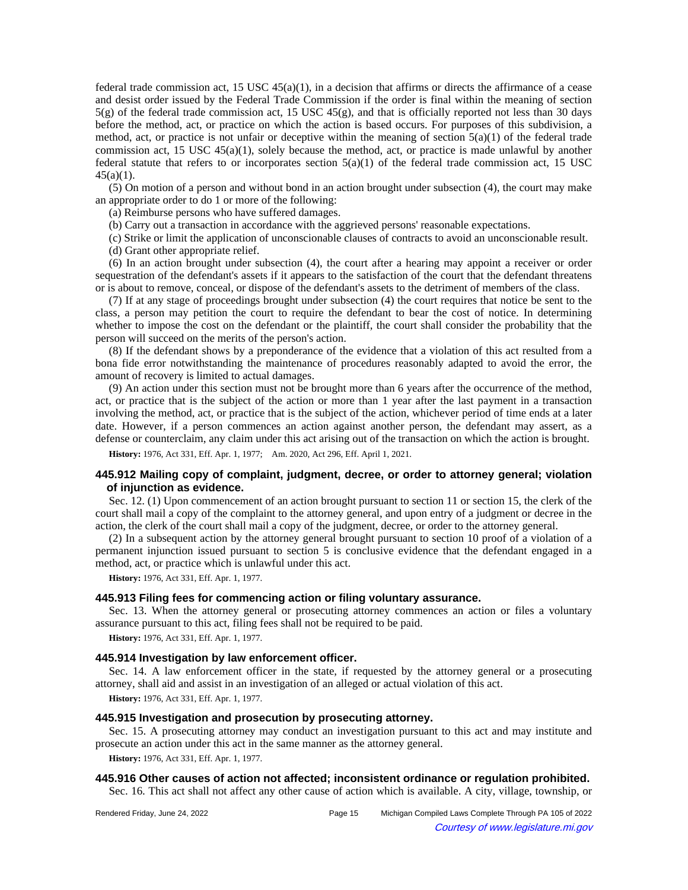federal trade commission act,  $15 \text{ USC } 45(a)(1)$ , in a decision that affirms or directs the affirmance of a cease and desist order issued by the Federal Trade Commission if the order is final within the meaning of section 5(g) of the federal trade commission act, 15 USC 45(g), and that is officially reported not less than 30 days before the method, act, or practice on which the action is based occurs. For purposes of this subdivision, a method, act, or practice is not unfair or deceptive within the meaning of section  $5(a)(1)$  of the federal trade commission act, 15 USC 45(a)(1), solely because the method, act, or practice is made unlawful by another federal statute that refers to or incorporates section  $5(a)(1)$  of the federal trade commission act, 15 USC  $45(a)(1)$ .

(5) On motion of a person and without bond in an action brought under subsection (4), the court may make an appropriate order to do 1 or more of the following:

- (a) Reimburse persons who have suffered damages.
- (b) Carry out a transaction in accordance with the aggrieved persons' reasonable expectations.

(c) Strike or limit the application of unconscionable clauses of contracts to avoid an unconscionable result.

(d) Grant other appropriate relief.

(6) In an action brought under subsection (4), the court after a hearing may appoint a receiver or order sequestration of the defendant's assets if it appears to the satisfaction of the court that the defendant threatens or is about to remove, conceal, or dispose of the defendant's assets to the detriment of members of the class.

(7) If at any stage of proceedings brought under subsection (4) the court requires that notice be sent to the class, a person may petition the court to require the defendant to bear the cost of notice. In determining whether to impose the cost on the defendant or the plaintiff, the court shall consider the probability that the person will succeed on the merits of the person's action.

(8) If the defendant shows by a preponderance of the evidence that a violation of this act resulted from a bona fide error notwithstanding the maintenance of procedures reasonably adapted to avoid the error, the amount of recovery is limited to actual damages.

(9) An action under this section must not be brought more than 6 years after the occurrence of the method, act, or practice that is the subject of the action or more than 1 year after the last payment in a transaction involving the method, act, or practice that is the subject of the action, whichever period of time ends at a later date. However, if a person commences an action against another person, the defendant may assert, as a defense or counterclaim, any claim under this act arising out of the transaction on which the action is brought.

**History:** 1976, Act 331, Eff. Apr. 1, 1977;—Am. 2020, Act 296, Eff. April 1, 2021.

## **445.912 Mailing copy of complaint, judgment, decree, or order to attorney general; violation of injunction as evidence.**

Sec. 12. (1) Upon commencement of an action brought pursuant to section 11 or section 15, the clerk of the court shall mail a copy of the complaint to the attorney general, and upon entry of a judgment or decree in the action, the clerk of the court shall mail a copy of the judgment, decree, or order to the attorney general.

(2) In a subsequent action by the attorney general brought pursuant to section 10 proof of a violation of a permanent injunction issued pursuant to section 5 is conclusive evidence that the defendant engaged in a method, act, or practice which is unlawful under this act.

**History:** 1976, Act 331, Eff. Apr. 1, 1977.

#### **445.913 Filing fees for commencing action or filing voluntary assurance.**

Sec. 13. When the attorney general or prosecuting attorney commences an action or files a voluntary assurance pursuant to this act, filing fees shall not be required to be paid.

**History:** 1976, Act 331, Eff. Apr. 1, 1977.

#### **445.914 Investigation by law enforcement officer.**

Sec. 14. A law enforcement officer in the state, if requested by the attorney general or a prosecuting attorney, shall aid and assist in an investigation of an alleged or actual violation of this act.

**History:** 1976, Act 331, Eff. Apr. 1, 1977.

## **445.915 Investigation and prosecution by prosecuting attorney.**

Sec. 15. A prosecuting attorney may conduct an investigation pursuant to this act and may institute and prosecute an action under this act in the same manner as the attorney general.

**History:** 1976, Act 331, Eff. Apr. 1, 1977.

# **445.916 Other causes of action not affected; inconsistent ordinance or regulation prohibited.**

Sec. 16. This act shall not affect any other cause of action which is available. A city, village, township, or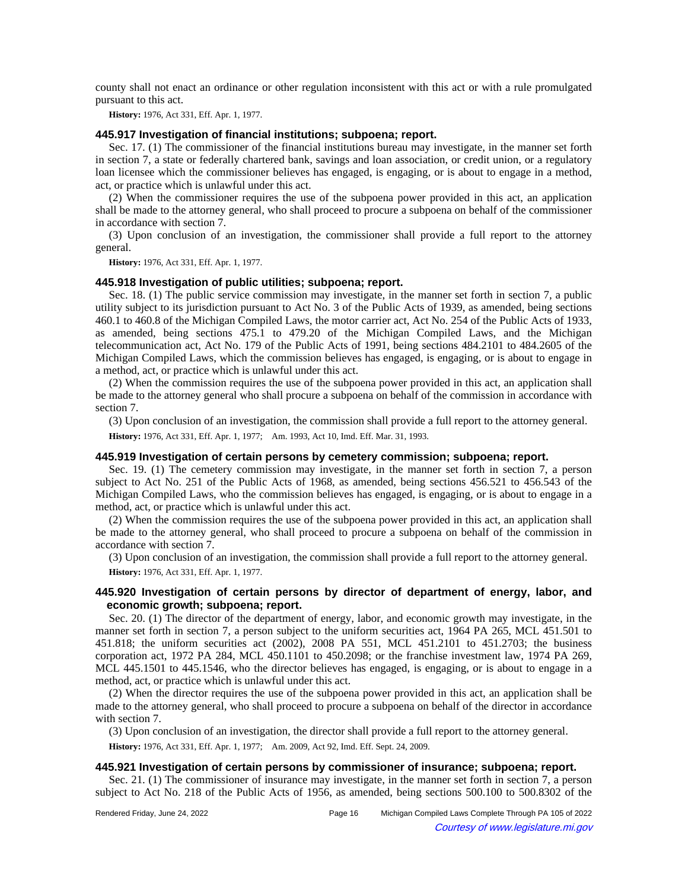county shall not enact an ordinance or other regulation inconsistent with this act or with a rule promulgated pursuant to this act.

**History:** 1976, Act 331, Eff. Apr. 1, 1977.

#### **445.917 Investigation of financial institutions; subpoena; report.**

Sec. 17. (1) The commissioner of the financial institutions bureau may investigate, in the manner set forth in section 7, a state or federally chartered bank, savings and loan association, or credit union, or a regulatory loan licensee which the commissioner believes has engaged, is engaging, or is about to engage in a method, act, or practice which is unlawful under this act.

(2) When the commissioner requires the use of the subpoena power provided in this act, an application shall be made to the attorney general, who shall proceed to procure a subpoena on behalf of the commissioner in accordance with section 7.

(3) Upon conclusion of an investigation, the commissioner shall provide a full report to the attorney general.

**History:** 1976, Act 331, Eff. Apr. 1, 1977.

#### **445.918 Investigation of public utilities; subpoena; report.**

Sec. 18. (1) The public service commission may investigate, in the manner set forth in section 7, a public utility subject to its jurisdiction pursuant to Act No. 3 of the Public Acts of 1939, as amended, being sections 460.1 to 460.8 of the Michigan Compiled Laws, the motor carrier act, Act No. 254 of the Public Acts of 1933, as amended, being sections 475.1 to 479.20 of the Michigan Compiled Laws, and the Michigan telecommunication act, Act No. 179 of the Public Acts of 1991, being sections 484.2101 to 484.2605 of the Michigan Compiled Laws, which the commission believes has engaged, is engaging, or is about to engage in a method, act, or practice which is unlawful under this act.

(2) When the commission requires the use of the subpoena power provided in this act, an application shall be made to the attorney general who shall procure a subpoena on behalf of the commission in accordance with section 7.

(3) Upon conclusion of an investigation, the commission shall provide a full report to the attorney general.

History: 1976, Act 331, Eff. Apr. 1, 1977;-- Am. 1993, Act 10, Imd. Eff. Mar. 31, 1993.

#### **445.919 Investigation of certain persons by cemetery commission; subpoena; report.**

Sec. 19. (1) The cemetery commission may investigate, in the manner set forth in section 7, a person subject to Act No. 251 of the Public Acts of 1968, as amended, being sections 456.521 to 456.543 of the Michigan Compiled Laws, who the commission believes has engaged, is engaging, or is about to engage in a method, act, or practice which is unlawful under this act.

(2) When the commission requires the use of the subpoena power provided in this act, an application shall be made to the attorney general, who shall proceed to procure a subpoena on behalf of the commission in accordance with section 7.

(3) Upon conclusion of an investigation, the commission shall provide a full report to the attorney general. **History:** 1976, Act 331, Eff. Apr. 1, 1977.

## **445.920 Investigation of certain persons by director of department of energy, labor, and economic growth; subpoena; report.**

Sec. 20. (1) The director of the department of energy, labor, and economic growth may investigate, in the manner set forth in section 7, a person subject to the uniform securities act, 1964 PA 265, MCL 451.501 to 451.818; the uniform securities act (2002), 2008 PA 551, MCL 451.2101 to 451.2703; the business corporation act, 1972 PA 284, MCL 450.1101 to 450.2098; or the franchise investment law, 1974 PA 269, MCL 445.1501 to 445.1546, who the director believes has engaged, is engaging, or is about to engage in a method, act, or practice which is unlawful under this act.

(2) When the director requires the use of the subpoena power provided in this act, an application shall be made to the attorney general, who shall proceed to procure a subpoena on behalf of the director in accordance with section 7.

(3) Upon conclusion of an investigation, the director shall provide a full report to the attorney general.

History: 1976, Act 331, Eff. Apr. 1, 1977;-- Am. 2009, Act 92, Imd. Eff. Sept. 24, 2009.

#### **445.921 Investigation of certain persons by commissioner of insurance; subpoena; report.**

Sec. 21. (1) The commissioner of insurance may investigate, in the manner set forth in section 7, a person subject to Act No. 218 of the Public Acts of 1956, as amended, being sections 500.100 to 500.8302 of the